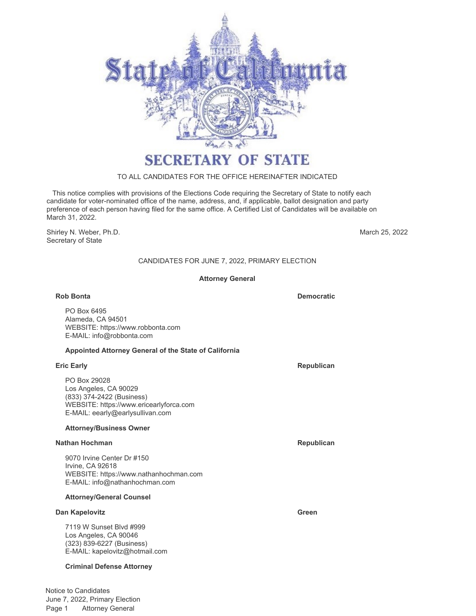

# **SECRETARY OF STATE**

# TO ALL CANDIDATES FOR THE OFFICE HEREINAFTER INDICATED

 This notice complies with provisions of the Elections Code requiring the Secretary of State to notify each candidate for voter-nominated office of the name, address, and, if applicable, ballot designation and party preference of each person having filed for the same office. A Certified List of Candidates will be available on March 31, 2022.

Shirley N. Weber, Ph.D. Secretary of State

March 25, 2022

# CANDIDATES FOR JUNE 7, 2022, PRIMARY ELECTION

### **Attorney General**

#### **Rob Bonta Democratic**

PO Box 6495 Alameda, CA 94501 WEBSITE: https://www.robbonta.com E-MAIL: info@robbonta.com

#### **Appointed Attorney General of the State of California**

PO Box 29028 Los Angeles, CA 90029 (833) 374-2422 (Business) WEBSITE: https://www.ericearlyforca.com E-MAIL: eearly@earlysullivan.com

### **Attorney/Business Owner**

#### **Nathan Hochman Republican Republican Republican**

9070 Irvine Center Dr #150 Irvine, CA 92618 WEBSITE: https://www.nathanhochman.com E-MAIL: info@nathanhochman.com

#### **Attorney/General Counsel**

#### **Dan Kapelovitz Green**

7119 W Sunset Blvd #999 Los Angeles, CA 90046 (323) 839-6227 (Business) E-MAIL: kapelovitz@hotmail.com

## **Criminal Defense Attorney**

Notice to Candidates June 7, 2022, Primary Election Page 1 Attorney General

**Eric Early Republican**